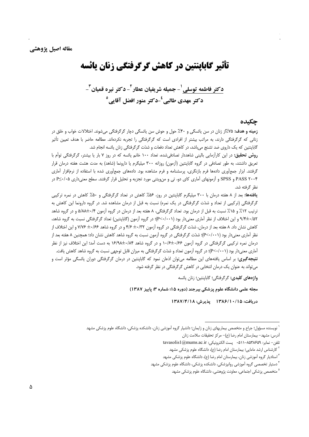**تأثیر گاباینتین در کاهش گرگرفتگی زنان پائسه** 

دكتر فاطمه توسلي <sup>١</sup>- جميله شريفيان عطار آ- دكتر نيره قميان <sup>٣</sup>-دکتر مهدي طالبي<sup>ء</sup>ُ-دکتر منور افضل آقايي<sup>0</sup>

## چکىدە

**زمینه و هدف: ۱**۵٪از زنان در سن پائسگی و ۴۰٪ حول و حوش سن پائسگی دچار گرگرفتگی میشوند. اختلالات خواب و خلق در زنانی که گرگرفتگی دارند، به مراتب بیشتر از افرادی است که گرگرفتگی را تجربه نکردهاند. مطالعه حاضر با هدف تعیین تأثیر گاباپنتین که یک داروی ضد تشنج میباشد، در کاهش تعداد دفعات و شدّت گرگرفتگی زنان یائسه انجام شد.

**روش تحقیق:** در این کارآزمایی بالینی شاهددار تصادفیشده، تعداد ۱۰۰ خانم یائسه که در روز ۷ بار یا بیشتر، گرگرفتگی توأم با تعریق داشتند، به طور تصادفی در گروه گاباپنتین (آزمون) روزانه ۳۰۰ میلیگرم یا دارونما (شاهد) به مدت هشت هفته درمان قرار گرفتند. ابزار جمعأوری دادهها فرم بازنگری، پرسشنامه و فرم مشاهده بود. دادههای جمعأوری شده با استفاده از نرمافزار أماری PASS ۲۰۰۴ و SPSS و آزمونهای آماری کای دو، تی و منویتنی مورد تجزیه و تحلیل قرار گرفتند. سطح معنیداری ۶٬۰۵≤ در نظر گرفته شد.

یافتهها: بعد از ۸ هفته درمان با ۳۰۰ میلیگرم گاباپنتین در روز، ۵۶٪ کاهش در تعداد گرگرفتگی و ۵۰٪ کاهش در نمره ترکیبی گرگرفتگی (ترکیبی از تعداد و شدّت گرگرفتگی در یک نمره) نسبت به قبل از درمان مشاهده شد. در گروه دارونما این کاهش به ترتیب ۱۲٪ و ۱۵٪ نسبت به قبل از درمان بود. تعداد گرگرفتگی، ۸ هفته بعد از درمان در گروه آزمون ۲/۰+۸/۵/۵ و در گروه شاهد ۰/۵۲+۹/۴ و این اختلاف از نظر آماری معنیدار بود (P<۰/۰۰۱)؛ در گروه آزمون (گاباپنتین) تعداد گرگرفتگی نسبت به گروه شاهد، کاهش نشان داد. ۸ هفته بعد از درمان، شدّت گرگرفتگی در گروه آزمون ۴۱۲+ ۴/۶ و در گروه شاهد ۰/۶۶± ۷/۷۶ و این اختلاف از نظر آماری معنیدار بود (P<۰/۰۰۱)؛ شدّت گرگرفتگی در گروه آزمون نسبت به گروه شاهد کاهش نشان داد؛ همچنین ۸ هفته بعد از درمان نمره ترکیبی گرگرفتگی در گروه آزمون ۱۰/۶<del>۶ ـ</del>۱۰/۶ و در گروه شاهد ۱۶/۹۸±۱۶/۹۸ به دست آمد؛ این اختلاف نیز از نظر آماری معنیدار بود (P<۰/۰۰۱)؛ در گروه آزمون تعداد و شدّت گرگرفتگی به میزان قابل توجهی نسبت به گروه شاهد کاهش یافت. **نتیجه گیری:** بر اساس یافتههای این مطالعه می توان اذعان نمود که گاباپنتین در درمان گرگرفتگی دوران یائسگی مؤثر است و می تواند به عنوان یک درمان انتخابی در کاهش گرگرفتگی در نظر گرفته شود.

واژەهاي كليدى: گرگرفتگى؛ گاباينتين؛ زنان پائسه

مجله علمی دانشگاه علوم پزشکی بیرجند (دوره ۱۵؛ شماره ۳؛ پاییز ۱۳۸۷)

دريافت: ١٣٨٤/١٠/١٩/١٣٨٤ يذيرش: ١٣٨٧/٤/١٨

<sup>ّ</sup> نویسنده مسؤول؛ جراح و متخصص بیماریهای زنان و زایمان؛ دانشیار گروه آموزشی زنان، دانشکده یزشکی، دانشگاه علوم یزشکی مشهد

أدرس: مشهد– بيمارستان امام رضا (ع)– مركز تحقيقات سلامت زنان

تلفن- نمابر: ٨٥٣٨۶٥٩-٨١١ ٠ پست الكترونيكي: tavasolis1@mums.ac.ir

<sup>&</sup>lt;sup>۲</sup> کارشناس ارشد مامایی؛ بیمارستان امام رضا (ع)، دانشگاه علوم پزشکی مشهد

<sup>&</sup>lt;sup>۳</sup> استادیار گروه آموزشی زنان، بیمارستان امام رضا (ع)، دانشگاه علوم پزشکی مشهد

<sup>&</sup>lt;sup>٦</sup> دستیار تخصصی گروه اَموزشی روانپزشکی، دانشکده پزشکی، دانشگاه علوم پزشکی مشهد

<sup>&</sup>lt;sup>۵</sup> متخصص پزشکی اجتماعی، معاونت پژوهشی، دانشگاه علوم پزشکی مشهد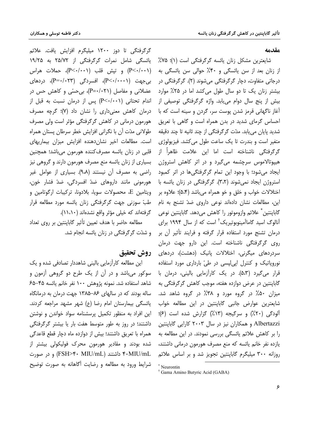#### مقدمه

شایعترین مشکل زنان پائسه گرگرفتگی است (۱)؛ ۷۵٪ از زنان بعد از سن پائسگی و ۴۰٪ حوالی سن پائسگی به درجاتی متفاوت، دچار گرگرفتگی میشوند (۲). گرگرفتگی در بیشتر زنان یک تا دو سال طول میکشد اما در ۲۵٪ موارد بیش از پنج سال دوام می یابد. واژه گرگرفتگی توصیفی از آغاز ناگهانی قرمز شدن پوست سر، گردن و سینه است که با احساس گرمای شدید در بدن همراه است و گاهی با تعریق شدید پایان می<u>،</u>بابد. مدّت گرگرفتگی از چند ثانیه تا چند دقیقه متغیر است و بندرت تا یک ساعت طول می کشد. فیزیولوژی گرگرفتگی ناشناخته است اما این علامت ظاهراً از هیپوتالاموس سرچشمه میگیرد و در اثر کاهش استروژن ایجاد می شود؛ با وجود این تمام گرگرفتگی ها در اثر کمبود استروژن ایجاد نمیشوند (۳،۲). گرگرفتگی در زنان پائسه با اختلالات خواب و خلق و خو همراه مي باشد (۵،۴)؛ علاوه بر این، مطالعات نشان دادهاند نوعی داروی ضدّ تشنج به نام گاباينتين ٌ علائم وازوموتور را كاهش مىدهد. گاباينتين نوعي آنالوگ اسید گاماآمینوبوتیریک<sup>†</sup> است که از سال ۱۹۹۴ برای درمان تشنج مورد استفاده قرار گرفته و فرایند تأثیر آن بر روی گرگرفتگی ناشناخته است. این دارو جهت درمان سردردهای میگرنی، اختلالات پانیک (دهشت)، دردهای نوروپاتیک و کنترل اپی لیسی در طیّ بارداری مورد استفاده قرار می گیرد (۵،۳). در یک کارآزمایی بالینی، درمان با گاباینتین در عرض دوازده هفته، موجب کاهش گرگرفتگی به میزان ۵۰٪ در گروه مورد و ۳۸٪ در گروه شاهد شد. شايعترين عوارض جانبي گاباپنتين در اين مطالعه خواب آلودگی (۲۰٪) و سرگیجه (۱۳٪) گزارش شده است (۶)؛ Albertazzi و همکاران نیز در سال ۲۰۰۳ کارایی گاباینتین را بر كاهش علائم يائسگى بررسى نمودند. در اين مطالعه به یازده نفر خانم پائسه که منع مصرف هورمون درمانی داشتند، روزانه ۳۰۰ میلیگرم گاباینتین تجویز شد و بر اساس علائم

گرگرفتگی تا دوز ۱۲۰۰ میلیگرم افزایش یافت. علائم یائسگی شامل نمرات گرگرفتگی از ۲۵/۷۲ به ۱۹/۲۵ و تیش قلب (P<-/··۱)) میش قلب (P<-/··۱)) و تیش قلب (P<-/··۱) بیجهت (P<۰/۰۰۰۱)، افسردگی (P=۰/۰۲۳)، دردهای عضلانی و مفاصل (P=٠/٠٢١)، بی حسّی و کاهش حس در اندام تحتانی (P<٠/٠٠١) پس از درمان نسبت به قبل از درمان كاهش معنى دارى را نشان داد (۷)؛ گرچه مصرف هورمون درمانی در کاهش گرگرفتگی مؤثر است ولی مصرف طولانی مدّت آن با نگرانی افزایش خطر سرطان پستان همراه است. مطالعات اخیر نشان دهنده افزایش میزان بیماریهای قلبي در زنان يائسه مصرف¢کننده هورمون ميباشد؛ همچنين بسیاری از زنان یائسه منع مصرف هورمون دارند و گروهی نیز راضی به مصرف آن نیستند (٩،٨). بسیاری از عوامل غیر هورمونی مانند داروهای ضدّ افسردگی، ضدّ فشار خون، ويتامين E، محصولات سويا، بلادونا، تركيبات ارگوتامين و طبّ سوزنی جهت گرگرفتگی زنان یائسه مورد مطالعه قرار گرفتهاند که خیلی مؤثر واقع نشدهاند (١١،١٠).

مطالعه حاضر با هدف تعيين تأثير گاباپنتين بر روي تعداد و شدّت گرگرفتگی در زنان یائسه انجام شد.

# روش تحقيق

این مطالعه کارآزمایی بالینی شاهددار تصادفی شده و یک سوکور می باشد و در آن از یک طرح دو گروهی آزمون و شاهد استفاده شد. نمونه پژوهش ۱۰۰ نفر خانم یائسه ۴۵–۶۵ ساله بودند که در سالهای ۸۶–۱۳۸۵ جهت درمان به درمانگاه یائسگی بیمارستان امام رضا (ع) شهر مشهد مراجعه کردند. این افراد به منظور تکمیل پرسشنامه سواد خواندن و نوشتن داشتند؛ در روز به طور متوسط هفت بار یا بیشتر گرگرفتگی همراه با تعریق داشتند؛ بیش از دوازده ماه دچار قطع قاعدگی شده بودند و مقادیر هورمون محرک فولیکولی بیشتر از ۴۰MIU/mL) داشتند (FSH>۴۰ MIU/mL) و در صورت شرایط ورود به مطالعه و رضایت آگاهانه به صورت توضیح

<sup>\*</sup> Neurontin

<sup>&</sup>lt;sup>†</sup> Gama Amino Butyric Acid (GABA)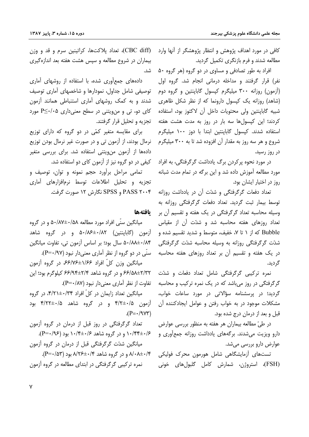کافی در مورد اهداف پژوهش و انتظار پژوهشگر از آنها وارد مطالعه شدند و فرم بازنگری تکمیل گردید.

افراد به طور تصادفی و مساوی در دو گروه (هر گروه ۵۰ نفر) قرار گرفتند و مداخله درمانی انجام شد. گروه اول (آزمون) روزانه ۳۰۰ میلیگرم کیسول گاباینتین و گروه دوم (شاهد) روزانه یک کپسول دارونما که از نظر شکل ظاهری شبیه گاباینتین ولی محتویات داخل آن لاکتوز بود، استفاده کردند؛ این کپسولها سه بار در روز به مدت هشت هفته استفاده شدند. کیسول گاباینتین ابتدا با دوز ۱۰۰ میلیگرم شروع و هر سه روز به مقدار آن افزوده شد تا به ۳۰۰ میلیگرم در روز رسید.

در مورد نحوه پرکردن برگ پادداشت گرگرفتگی، به افراد مورد مطالعه آموزش داده شد و این برگه در تمام مدت شبانه روز در اختیار ایشان بود.

تعداد دفعات گرگرفتگی و شدّت آن در یادداشت روزانه توسط بیمار ثبت گردید. تعداد دفعات گرگرفتگی روزانه به وسیله محاسبه تعداد گرگرفتگی در یک هفته و تقسیم آن بر تعداد روزهای هفته محاسبه شد و شدّت آن از مقیاس Bubble که از ۱ تا ۷، خفیف، متوسط و شدید تقسیم شده و شدّت گرگرفتگی روزانه به وسیله محاسبه شدّت گرگرفتگی در یک هفته و تقسیم آن بر تعداد روزهای هفته محاسبه گردىد.

نمره ترکیبی گرگرفتگی شامل تعداد دفعات و شدّت گرگرفتگی در روز میباشد که در یک نمره ترکیب و محاسبه گردید؛ در پرسشنامه سؤالاتی در مورد ساعات خواب، مشکلات موجود در به خواب رفتن و عوامل ایجادکننده آن قبل و بعد از درمان درج شده بود.

در طيّ مطالعه بيماران هر هفته به منظور بررسي عوارض دارو ویزیت می شدند. بر گههای یادداشت روزانه جمع آوری و عوارض دارو بررسی میشد.

تستھای آزمایشگاهی شامل هورمون محرک فولیکی (FSH)، استروژن، شمارش کامل گلبولهای خونی

(CBC diff)، تعداد پلاکتها، کراتینین سرم و قد و وزن بیماران در شروع مطالعه و سپس هشت هفته بعد اندازهگیری شد.

دادههای جمع آوری شده، با استفاده از روشهای آماری توصیفی شامل جداول، نمودارها و شاخصهای آماری توصیف شدند و به کمک روشهای آماری استنباطی همانند آزمون کای دو، تی و من ویتنی در سطح معنی داری  $P \leq \cdot / \cdot \geq P$  مورد تجزیه و تحلیل قرار گرفتند.

برای مقایسه متغیر کمّی در دو گروه که دارای توزیع نرمال بودند، از آزمون تی و در صورت غیر نرمال بودن توزیع دادهها از آزمون من<u>وی</u>تنی استفاده شد. برای بررسی متغیر کیفی در دو گروه نیز از آزمون کای دو استفاده شد.

تمامی مراحل برآورد حجم نمونه و توان، توصیف و تجزیه و تحلیل اطلاعات توسط نرمافزارهای آماری PASS ۲۰۰۴ و SPSS نگارش ۱۲ صورت گرفت.

### بافتهها

میانگین سنّی افراد مورد مطالعه ۵۰/۸۷±۵۰/۸۷ و در گروه آزمون (گاباینتین) ۵۰/۸۶±۰/۸۲ و در گروه شاهد ۵۰/۸۸<del>۱</del>۰/۸۴ سال بود؛ بر اساس آزمون تي، تفاوت ميانگين سنّی در دو گروه از نظر آماری معنی دار نبود (P=٠/٩٧).

میانگین وزن کلّ افراد ۶۶/۷۶±۶/۷۶ در گروه آزمون ۶۶/۵۸±۲/۳۲ و در گروه شاهد ۲/۴±۶۶/۹۴ کیلوگرم بود؛ این تفاوت از نظر آماری معنی دار نبود (P=٠/٨٧).

میانگین تعداد زایمان در کلّ افراد ۴/۲۰±۰/۳۲، در گروه آزمون ۴/۲±۰/۵ و در گروه شاهد ۴/۲۲±۰/۵ بود  $(P = \cdot / 9V^*)$ 

تعداد گرگرفتگی در روز قبل از درمان در گروه آزمون ۰/۴۴±۰/۶ و در گروه شاهد ۰/۴±۰/۶ بود (۹۶/۰=P). میانگین شدّت گرگرفتگی قبل از درمان در گروه آزمون ۸/۰۸±۰/۴ و در گروه شاهد ۸/۲۶±۰/۲ بود (P=۰/۵۳).

نمره ترکیبی گرگرفتگی در ابتدای مطالعه در گروه آزمون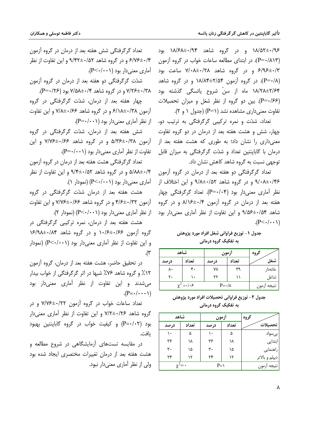۱۸/۵۲±۰/۹۶ و در گروه شاهد ۱۸/۶۸±۰/۹۴ بود (P=٠/٨١٣). در ابتداى مطالعه ساعات خواب در گروه آزمون ۶/۹۶±۰/۳ و در گروه شاهد ۷/۰۸±۰/۲۸ ساعت بود (P=٠/٨). در گروه آزمون ۱۸/۸۴±۲/۵۴ و در گروه شاهد ۱۸/۲۸±۲/۶۴ ماه از سنّ شروع یائسگی گذشته بود (P=٠/۶۶). بین دو گروه از نظر شغل و میزان تحصیلات تفاوت معنی داری مشاهده نشد (P=۱) (جدول ۱ و ۲).

تعداد، شدّت و نمره ترکیبی گرگرفتگی به ترتیب دو، چهار، شش و هشت هفته بعد از درمان در دو گروه تفاوت معنیداری را نشان داد؛ به طوری که هشت هفته بعد از درمان با گاباینتین تعداد و شدّت گرگرفتگی به میزان قابل توجهي نسبت به گروه شاهد كاهش نشان داد.

تعداد گرگرفتگی دو هفته بعد از درمان در گروه آزمون ۹/۰۸±۰/۴۶ و در گروه شاهد ۹/۸±۰/۵۲ و این اختلاف از نظر آماري معنىدار بود (P=۰/۰۴). تعداد گرگرفتگي چهار هفته بعد از درمان در گروه آزمون ۸/۱۶±۸/۱۶ و در گروه شاهد ۹/۵۶±۰/۵۴ و این تفاوت از نظر آماری معنیدار بود  $(P<\cdot/\cdot\cdot)$ 

جدول ١- توزيع فراواني شغل افراد مورد پژوهش به تفکیک گروه درمانی

| شاهد            |       | ازمون                 | گروه  |             |
|-----------------|-------|-----------------------|-------|-------------|
| درصد            | تعداد | درصد                  | تعداد | شغل         |
| ٨٠              | ۴.    | ٧٨                    | ٣٩    | خانەدار     |
| ٢٠              | ۱۰    |                       |       | شاغل        |
| $\chi^2 = -1.5$ |       | $P = \cdot / \lambda$ |       | نتيجه أزمون |

| جدول ۲- توزیع فراوانی تحصیلات افراد مورد پژوهش |  |  |                      |  |  |
|------------------------------------------------|--|--|----------------------|--|--|
|                                                |  |  | به تفکیک گروه درمانی |  |  |

| شاهد             |       | ازمون        |       | گروه           |
|------------------|-------|--------------|-------|----------------|
| درصد             | تعداد | درصد         | تعداد | تحصيلات        |
| ١.               | ۵     | ١.           | ۵     | بی سواد        |
| ۳۶               | ۱۸    | ۳۶           | ۱۸    | ابتدایی        |
| ۳۰               | ۱۵    | ٣٠           | ۱۵    | راهنمایی       |
| ٢۴               | ۱۲    | ٢۴           | ۱۲    | ديپلم و بالاتر |
| $\chi^2 = \cdot$ |       | $P = \Delta$ |       | نتيجه ازمون    |

تعداد گرگرفتگی شش هفته بعد از درمان در گروه آزمون ۶/۷۶±۰/۴ و در گروه شاهد ۹/۴۲±۰/۵۲ و این تفاوت از نظر آماری معنی دار بود (۰۰۱–P<۰).

شدّت گرگرفتگی دو هفته بعد از درمان در گروه آزمون ۷/۲۶±۰/۳۸ و در گروه شاهد ۷/۵۸±۰/۴ بود (۲۶/۰=P).

چهار هفته بعد از درمان، شدّت گرگرفتگی در گروه  $\frac{1}{2}$   $\frac{1}{2}$   $\frac{1}{2}$ و در  $\frac{1}{2}$ دوه شاهد ۶/۱۶۶ و این تفاوت از نظر آماری معنی دار بود (۶۰۰۱-+P).

شش هفته بعد از درمان، شدّت گرگرفتگی در گروه آزمون ۵/۳۶±۰/۳۸ و در گروه شاهد ۷/۷۶±۰/۶۶ و این تفاوت از نظر آماری معنی دار بود (۶۰۰۱-+-P).

تعداد گرگرفتگی هشت هفته بعد از درمان در گروه آزمون ۵/۸۸±۰/۴ و در گروه شاهد ۹/۴±۰/۵۲ و این تفاوت از نظر آماری معنی دار بود (P<۰/۰۰۱) (نمودار ۱).

هشت هفته بعد از درمان شدّت گرگرفتگی در گروه  $\frac{1}{2}$ آزمون ۳/۲۲+ $\frac{1}{2}$ ۹ و در گروه شاهد ۰/۶۶+ $\frac{1}{2}$ ۷/۷۶ و این تفاوت از نظر آماری معنی دار بود (P<٠/٠٠١) (نمودار ٢).

هشت هفته بعد از درمان، نمره ترکیبی گرگرفتگی در گروه آزمون ۱۰/۶<del>۱</del>۰/۶۶ و در گروه شاهد ۱۶/۹۸±۰/۸۴ و این تفاوت از نظر آماری معنی دار بود (P<۰/۰۰۱) (نمودار ۳).

در تحقیق حاضر، هشت هفته بعد از درمان، گروه آزمون ۰۱۲٪ و گروه شاهد ۷۶٪ شبها در اثر گرگرفتگی از خواب بیدار می شدند و این تفاوت از نظر آماری معنی دار بود  $(P = \cdot / \cdot \cdot \cdot )$ 

تعداد ساعات خواب در گروه آزمون ۷/۷۶±۷/۷۶ و در گروه شاهد ۷/۲±۰/۲۶ و این تفاوت از نظر آماری معنی دار بود (P=٠/٠٢) و کیفیت خواب در گروه گاباینتین بهبود ىافت.

در مقایسه تستهای آزمایشگاهی در شروع مطالعه و هشت هفته بعد از درمان تغییرات مختصری ایجاد شده بود ولی از نظر آماری معنی دار نبود.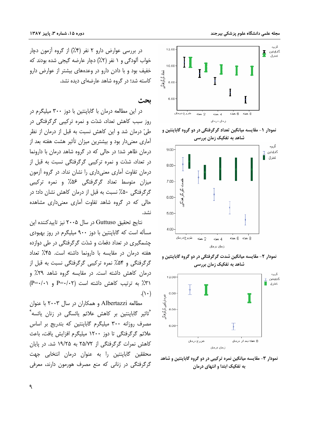

نمودار ۲- مقایسه میانگین شدت گرگرفتگی در دو گروه گاباپنتین و شاهد به تفکیک زمان بررسی



نمودار ۳- مقایسه میانگین نمره ترکیبی در دو گروه گاباپنتین و شاهد به تفکیک ابتدا و انتهای درمان

در بررسی عوارض دارو ۲ نفر (۴٪) از گروه آزمون دچار خواب آلودگی و ۱ نفر (۲٪) دچار عارضه گیجی شده بودند که خفیف بود و با دادن دارو در وعدههای بیشتر از عوارض دارو کاسته شد؛ در گروه شاهد عارضهای دیده نشد.

ىحث

در این مطالعه درمان با گاباینتین با دوز ۳۰۰ میلیگرم در روز سبب کاهش تعداد، شدّت و نمره ترکیبی گرگرفتگی در طیّ درمان شد و این کاهش نسبت به قبل از درمان از نظر آماری معنیدار بود و بیشترین میزان تأثیر هشت هفته بعد از درمان ظاهر شد؛ در حالی که در گروه شاهد درمان با دارونما در تعداد، شدّت و نمره ترکیبی گرگرفتگی نسبت به قبل از درمان تفاوت آماری معنیداری را نشان نداد. در گروه آزمون میزان متوسط تعداد گرگرفتگی ۵۶٪ و نمره ترکیبی گرگرفتگی ۵۰٪ نسبت به قبل از درمان کاهش نشان داد؛ در حالی که در گروه شاهد تفاوت آماری معنیداری مشاهده نشد.

نتايج تحقيق Guttuso در سال ۲۰۰۵ نيز تاييدكننده اين مسأله است که گاباپنتین با دوز ۹۰۰ میلیگرم در روز بهبودی چشمگیری در تعداد دفعات و شدّت گرگرفتگی در طی دوازده هفته درمان در مقایسه با دارونما داشته است. ۴۵٪ تعداد گرگرفتگی و ۵۴٪ نمره ترکیبی گرگرفتگی نسبت به قبل از درمان کاهش داشته است. در مقایسه گروه شاهد ۲۹٪ و (٣٪ به ترتیب کاهش داشته است (P=٠/٠٢ و (P=٠/٠٢)  $\cdot$ () + )

مطالعه Albertazzi و همکاران در سال ۲۰۰۳ با عنوان <sup>"</sup>تاثیر گاباینتین بر کاهش علائم یائسگی در زنان یائسه<sup>»</sup> مصرف روزانه ۳۰۰ میلیگرم گاباینتین که بتدریج بر اساس علائم گرگرفتگی تا دوز ۱۲۰۰ میلیگرم افزایش یافت، باعث کاهش نمرات گرگرفتگی از ۲۵/۷۲ به ۱۹/۲۵ شد. در بابان محققین گاباینتین را به عنوان درمان انتخابی جهت گرگرفتگی در زنانی که منع مصرف هورمون دارند، معرفی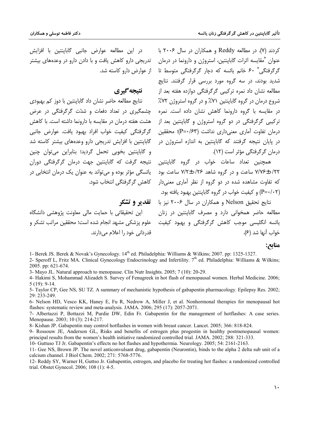کردند (۷). در مطالعه Reddy و همکاران در سال ۲۰۰۶ با عنوان "مقايسه اثرات گاباينتين، استروژن و دارونما در درمان گرگرفتگی<sup>»</sup> ۶۰ خانم یائسه که دچار گرگرفتگی متوسط تا از عوارض دارو کاسته شد. .<br>شدید بودند، در سه گروه مورد بررسی قرار گرفتند. نتایج .<br>مطالعه نشان داد نمره ترکیبی گرگرفتگی دوازده هفته بعد از نتىجە گىرى نتایج مطالعه حاضر نشان داد گاباینتین با دوز کم بهبودی

شروع درمان در گروه گاباینتین ۷۱٪ و در گروه استروژن ۷۲٪ در مقایسه با گروه دارونما کاهش نشان داده است. نمره ترکیبی گرگرفتگی در دو گروه استروژن و گاباپنتین بعد از درمان تفاوت آماری معنیداری نداشت (P=۰/۶۳)؛ محققین در پایان نتیجه گرفتند که گاباینتین به اندازه استروژن در درمان گرگرفتگی مؤثر است (۱۲).

همچنین تعداد ساعات خواب در گروه گاباینتین ۷/۷۶±۰/۲۲ ساعت و در گروه شاهد ۷/۲±۰/۲۶ ساعت بود که تفاوت مشاهده شده در دو گروه از نظر آماری معنیدار (P=٠/٠٢) و کیفیت خواب در گروه گاباینتین بهبود یافته بود.

نتايج تحقيق Nelson و همكاران در سال ۲۰۰۶ نيز با **ه تقديو و تشكو** مطالعه حاضر همخوانی دارد و مصرف گاباپنتین در زنان پائسه انگلیسی موجب کاهش گرگرفتگی و بهبود کیفیت خواب آنها شد (۶).

منابع:

1- Berek JS. Berek & Novak's Gynecology. 14<sup>th</sup> ed. Philadelphia: Williams & Wilkins; 2007. pp: 1325-1327.

2- Speroff L, Fritz MA. Clinical Gynecology Endocrinology and Infertility. 7<sup>th</sup> ed. Philadelphia: Williams & Wilkins: 2005. pp: 621-674.

3- Mayo JL. Natural approach to menopause. Clin Nutr Insights. 2005; 7 (10): 20-29.

کاهش گرگرفتگی انتخاب شود.

قدردانی خود را اعلام مے دارند.

4- Hakimi S, Mohammad Alizadeh S. Survey of Fenugreek in hot flash of menopausal women. Herbal Medicine. 2006;  $5(19): 9-14.$ 

5- Taylor CP, Gee NS, SU TZ. A summary of mechanistic hypothesis of gabapentin pharmacology. Epilepsy Res. 2002; 29: 233-249.

6- Nelson HD, Vesco KK, Haney E, Fu R, Nedrow A, Miller J, et al. Nonhormonal therapies for menopausal hot flashes: systematic review and meta-analysis. JAMA. 2006; 295 (17): 2057-2071.

7- Albertazzi P, Bottazzi M, Purdie DW, Edin Fr. Gabapentin for the management of hotflashes: A case series. Menopause. 2003; 10 (3): 214-217.

8- Kishan JP. Gabapentin may control hotflashes in women with breast cancer. Lancet. 2005; 366: 818-824.

9- Rossouw JE, Anderson GL, Risks and benefits of estrogen plus progestin in healthy postmenopausal women: principal results from the women's health initiative randomized controlled trial. JAMA. 2002; 288: 321-333.

10- Guttuso TJ Jr. Gabapentin's effects no hot flashes and hypothermia. Neurology. 2005; 54: 2161-2163.

11- Gee NS, Brown JP. The novel anticonvulsant drug, gabapentin (Neurontin), binds to the alpha 2 delta sub unit of a calcium channel. J Biol Chem. 2002: 271: 5768-5776.

12- Reddy SY, Warner H, Guttso Jr. Gabapentin, estrogen, and placebo for treating hot flashes: a randomized controlled trial. Obstet Gynecol. 2006: 108 (1): 4-5.

حشمگیری در تعداد دفعات و شدّت گرگرفتگی در عرض

هشت هفته درمان در مقايسه با دارونما داشته است. با كاهش گرگرفتگی کیفیت خواب افراد بھبود یافت. عوارض جانبی

گاباینتین با افزایش تدریجی دارو وعدههای بیشتر کاسته شد و گاباينتين بخوبي تحمل گرديد؛ بنابراين مي توان چنين

نتبحه گرفت که گاباینتین جهت درمان گرگرفتگی دوران

یائسگی مؤثر بوده و می تواند به عنوان یک درمان انتخابی در

این تحقیقاتی با حمایت مالی معاونت پژوهشی دانشگاه

علوم پزشکی مشهد انجام شده است؛ محققین مراتب تشکر و